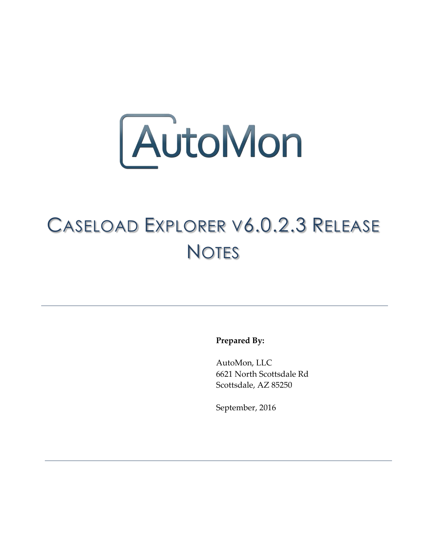

## CASELOAD EXPLORER V6.0.2.3 RELEASE **NOTES**

**Prepared By:**

AutoMon, LLC 6621 North Scottsdale Rd Scottsdale, AZ 85250

September, 2016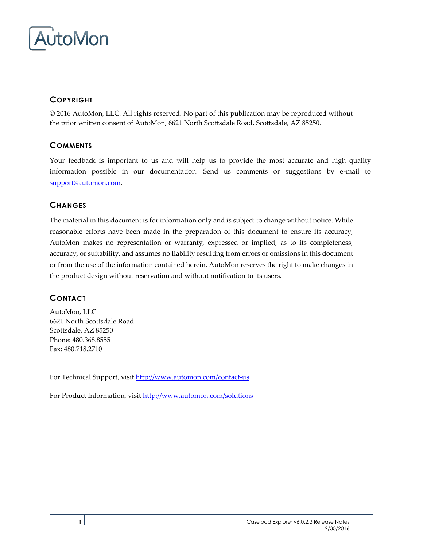

### **COPYRIGHT**

© 2016 AutoMon, LLC. All rights reserved. No part of this publication may be reproduced without the prior written consent of AutoMon, 6621 North Scottsdale Road, Scottsdale, AZ 85250.

#### **COMMENTS**

Your feedback is important to us and will help us to provide the most accurate and high quality information possible in our documentation. Send us comments or suggestions by e-mail to [support@automon.com.](mailto:support@automon.com)

#### **CHANGES**

The material in this document is for information only and is subject to change without notice. While reasonable efforts have been made in the preparation of this document to ensure its accuracy, AutoMon makes no representation or warranty, expressed or implied, as to its completeness, accuracy, or suitability, and assumes no liability resulting from errors or omissions in this document or from the use of the information contained herein. AutoMon reserves the right to make changes in the product design without reservation and without notification to its users.

### **CONTACT**

AutoMon, LLC 6621 North Scottsdale Road Scottsdale, AZ 85250 Phone: 480.368.8555 Fax: 480.718.2710

For Technical Support, visi[t http://www.automon.com/contact-us](http://www.automon.com/#!contact/c1d94)

For Product Information, visit [http://www.automon.com/solutions](http://www.automon.com/#!products/ch6q)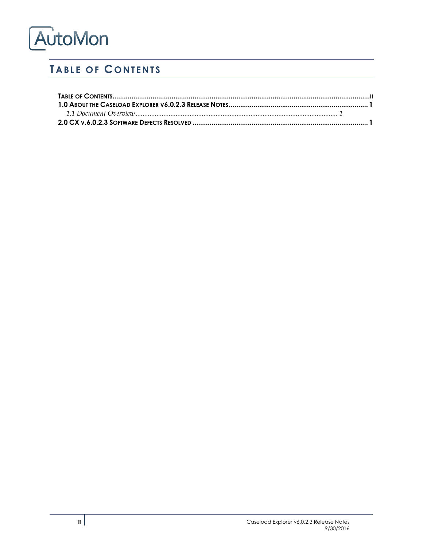# AutoMon

## <span id="page-2-0"></span>**TABLE OF CONTENTS**